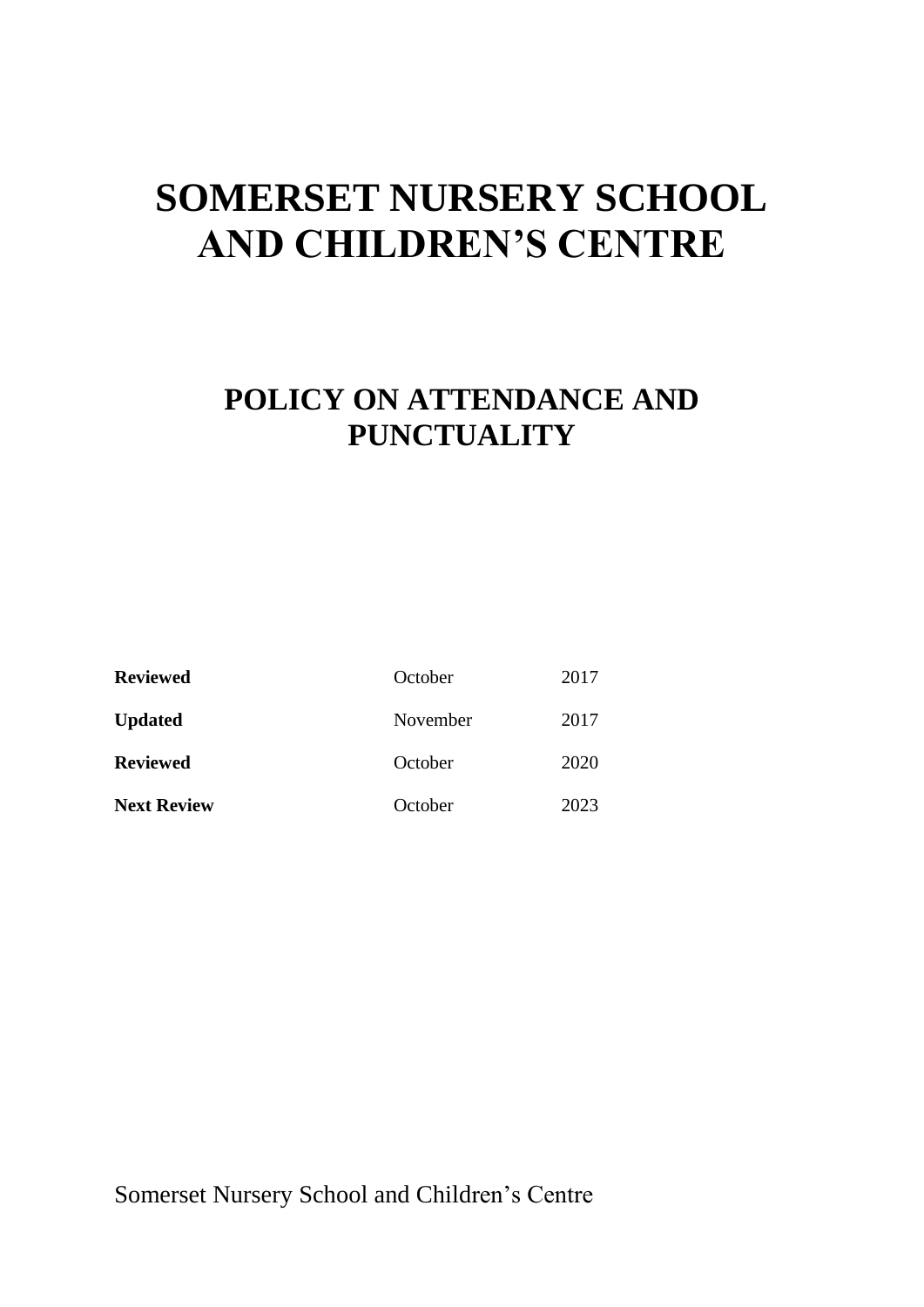# **SOMERSET NURSERY SCHOOL AND CHILDREN'S CENTRE**

## **POLICY ON ATTENDANCE AND PUNCTUALITY**

| <b>Reviewed</b>    | October  | 2017 |
|--------------------|----------|------|
| <b>Updated</b>     | November | 2017 |
| <b>Reviewed</b>    | October  | 2020 |
| <b>Next Review</b> | October  | 2023 |

Somerset Nursery School and Children's Centre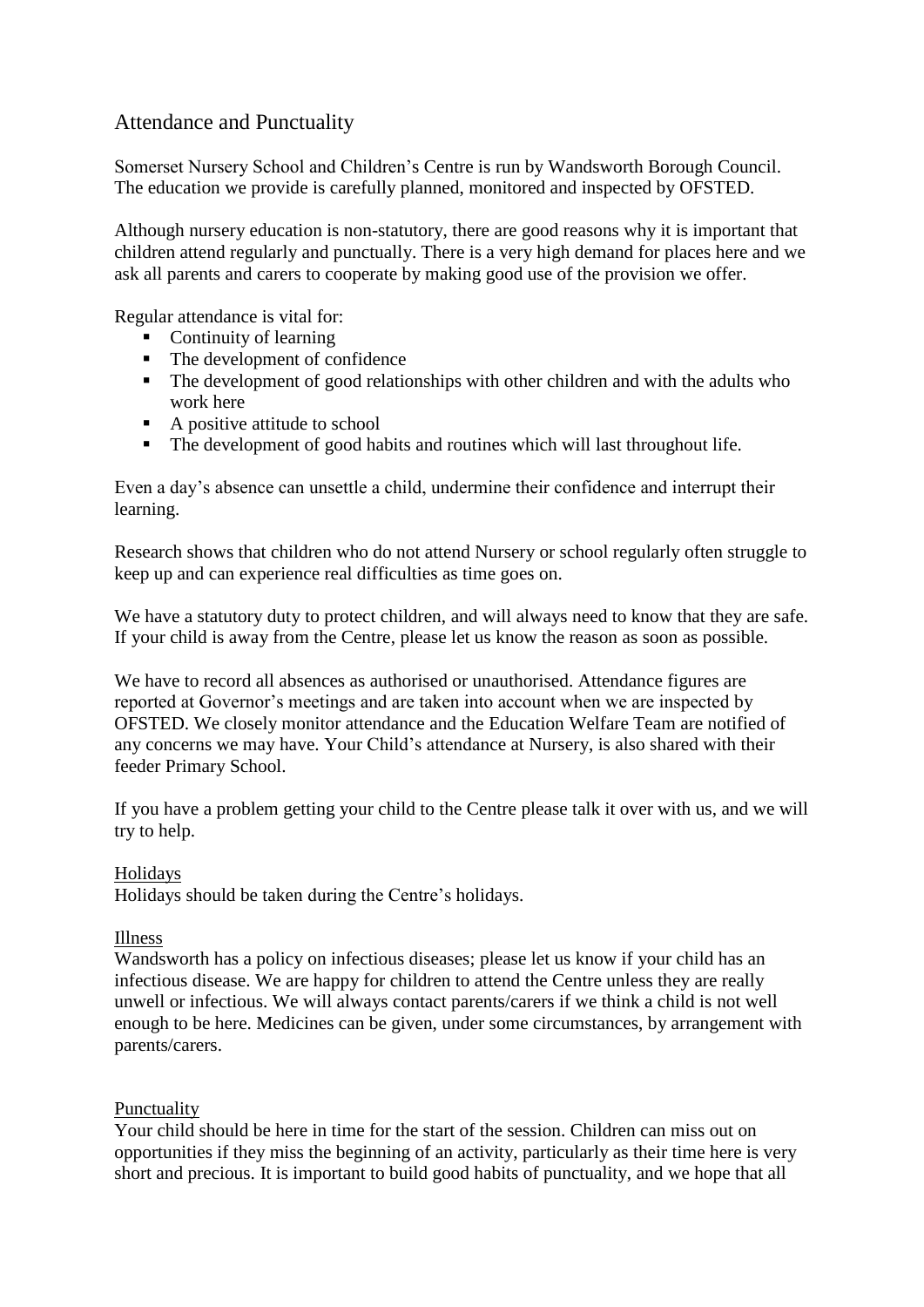### Attendance and Punctuality

Somerset Nursery School and Children's Centre is run by Wandsworth Borough Council. The education we provide is carefully planned, monitored and inspected by OFSTED.

Although nursery education is non-statutory, there are good reasons why it is important that children attend regularly and punctually. There is a very high demand for places here and we ask all parents and carers to cooperate by making good use of the provision we offer.

Regular attendance is vital for:

- Continuity of learning
- The development of confidence
- The development of good relationships with other children and with the adults who work here
- A positive attitude to school
- The development of good habits and routines which will last throughout life.

Even a day's absence can unsettle a child, undermine their confidence and interrupt their learning.

Research shows that children who do not attend Nursery or school regularly often struggle to keep up and can experience real difficulties as time goes on.

We have a statutory duty to protect children, and will always need to know that they are safe. If your child is away from the Centre, please let us know the reason as soon as possible.

We have to record all absences as authorised or unauthorised. Attendance figures are reported at Governor's meetings and are taken into account when we are inspected by OFSTED. We closely monitor attendance and the Education Welfare Team are notified of any concerns we may have. Your Child's attendance at Nursery, is also shared with their feeder Primary School.

If you have a problem getting your child to the Centre please talk it over with us, and we will try to help.

#### Holidays

Holidays should be taken during the Centre's holidays.

#### Illness

Wandsworth has a policy on infectious diseases; please let us know if your child has an infectious disease. We are happy for children to attend the Centre unless they are really unwell or infectious. We will always contact parents/carers if we think a child is not well enough to be here. Medicines can be given, under some circumstances, by arrangement with parents/carers.

#### Punctuality

Your child should be here in time for the start of the session. Children can miss out on opportunities if they miss the beginning of an activity, particularly as their time here is very short and precious. It is important to build good habits of punctuality, and we hope that all